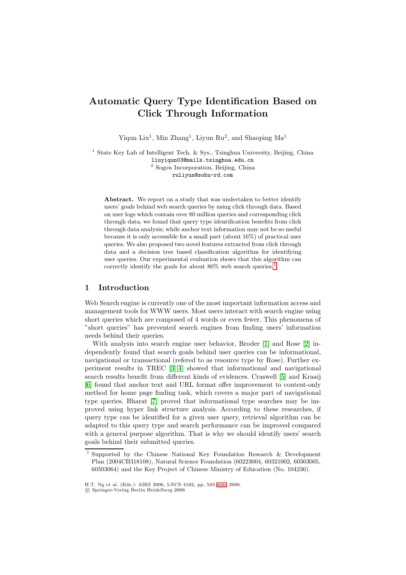# **Automatic Query Type Identification Based on Click Through Information**

Yiqun Liu<sup>1</sup>, Min Zhang<sup>1</sup>, Liyun Ru<sup>2</sup>, and Shaoping  $Ma<sup>1</sup>$ 

<sup>1</sup> State Key Lab of Intelligent Tech.  $&$  Sys., Tsinghua University, Beijing, China liuyiqun03@mails.tsinghua.edu.cn <sup>2</sup> Sogou Incorporation, Beijing, China ruliyun@sohu-rd.com

Abstract. We report on a study that was undertaken to better identify users' goals behind web search queries by using click through data. Based on user logs which contain over 80 million queries and corresponding click through data, we found that query type identification benefits from click through data analysis; while anchor text information may not be so useful because it is only accessible for a small part (about 16%) of practical user queries. We also proposed two novel features extracted from click through data and a decision tree based classification algorithm for identifying user queries. Our experimental evaluation shows that this algorithm can correctly identify the goals for about  $80\%$  web search queries.<sup>1</sup>

# **1 Introduction**

Web Search engine is currently one of the most important infor[ma](#page-0-0)tion access and management tools for WWW users. Most users interact with search engine using short queries which are composed of 4 words or even fewer. This phenomena of "short queries" has prevented search engines from finding users' information needs behind their queries.

With analysis into search engine user behavior, Broder [1] and Rose [2] independently found that search goals behind user queries can be informational, navigational or transactional (refered to as resource type by Rose). Further experiment results in TREC [3][4] showed that informational and navigational search results benefit from different kinds of evidences. Cra[sw](#page-6-0)ell [5] and [Kr](#page-6-1)aaij [6] found that anchor text and URL format offer improvement to content-only method for home page finding task, which covers a major part of navigational type queries. Bharat [7] pro[ve](#page-7-0)[d](#page-7-1) that informational type searches may be improved using hyper link structure analysis. According to these [re](#page-7-2)searches, if [qu](#page-7-3)ery type can be identified for a given user query, retrieval algorithm can be adapted to this query type and search performance can be improved compared with a general purpos[e a](#page-7-4)lgorithm. That is why we should identify users' search goals behind their submitted queries.

<sup>1</sup> Supported by the Chinese National Key Foundation Research & Development Plan (2004CB318108), Natural Science Foundation (60223004, 60321002, 60303005, 60503064) and the Key Project of Chinese Ministry of Education (No. 104236).

H.T. Ng et al. (Eds.): AIRS 2006, LNCS 4182, pp. 593–600, 2006.

<span id="page-0-0"></span><sup>-</sup>c Springer-Verlag Berlin Heidelberg 2006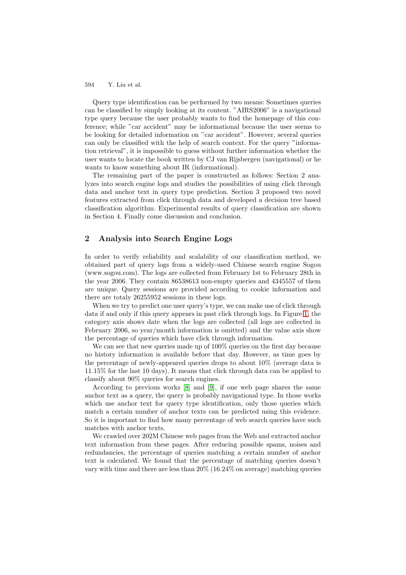594 Y. Liu et al.

Query type identification can be performed by two means: Sometimes queries can be classified by simply looking at its content. "AIRS2006" is a navigational type query because the user probably wants to find the homepage of this conference; while "car accident" may be informational because the user seems to be looking for detailed information on "car accident". However, several queries can only be classified with the help of search context. For the query "information retrieval", it is impossible to guess without further information whether the user wants to locate the book written by CJ van Rijsbergen (navigational) or he wants to know something about IR (informational).

The remaining part of the paper is constructed as follows: Section 2 analyzes into search engine logs and studies the possibilities of using click through data and anchor text in query type prediction. Section 3 proposed two novel features extracted from click through data and developed a decision tree based classification algorithm. Experimental results of query classification are shown in Section 4. Finally come discussion and conclusion.

# **2 Analysis into Search Engine Logs**

In order to verify reliability and scalability of our classification method, we obtained part of query logs from a widely-used Chinese search engine Sogou (www.sogou.com). The logs are collected from February 1st to February 28th in the year 2006. They contain 86538613 non-empty queries and 4345557 of them are unique. Query sessions are provided according to cookie information and there are totaly 26255952 sessions in these logs.

When we try to predict one user query's type, we can make use of click through data if and only if this query appears in past click through logs. In Figure 1, the category axis shows date when the logs are collected (all logs are collected in February 2006, so year/month information is omitted) and the value axis show the percentage of queries which have click through information.

We can see that new queries made up of 100% queries on the first day b[eca](#page-2-0)use no history information is available before that day. However, as time goes by the percentage of newly-appeared queries drops to about 10% (average data is 11.15% for the last 10 days). It means that click through data can be applied to classify about 90% queries for search engines.

According to previous works [8] and [9], if one web page shares the same anchor text as a query, the query is probably navigational type. In those works which use anchor text for query type identification, only those queries which match a certain number of anchor texts can be predicted using this evidence. So it is important to find how m[any](#page-7-5) perc[ent](#page-7-6)age of web search queries have such matches with anchor texts.

We crawled over 202M Chinese web pages from the Web and extracted anchor text information from these pages. After reducing possible spams, noises and redundancies, the percentage of queries matching a certain number of anchor text is calculated. We found that the percentage of matching queries doesn't vary with time and there are less than 20% (16.24% on average) matching queries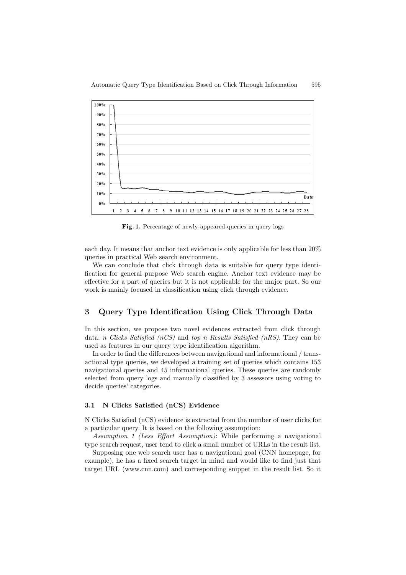

Fig. 1. Percentage of newly-appeared queries in query logs

<span id="page-2-0"></span>each day. It means that anchor text evidence is only applicable for less than 20% queries in practical Web search environment.

We can conclude that click through data is suitable for query type identification for general purpose Web search engine. Anchor text evidence may be effective for a part of queries but it is not applicable for the major part. So our work is mainly focused in classification using click through evidence.

# **3 Query Type Identification Using Click Through Data**

In this section, we propose two novel evidences extracted from click through data: n Clicks Satisfied (nCS) and top n Results Satisfied (nRS). They can be used as features in our query type identification algorithm.

In order to find the differences between navigational and informational / transactional type queries, we developed a training set of queries which contains 153 navigational queries and 45 informational queries. These queries are randomly selected from query logs and manually classified by 3 assessors using voting to decide queries' categories.

## **3.1 N Clicks Satisfied (nCS) Evidence**

N Clicks Satisfied (nCS) evidence is extracted from the number of user clicks for a particular query. It is based on the following assumption:

Assumption 1 (Less Effort Assumption): While performing a navigational type search request, user tend to click a small number of URLs in the result list.

Supposing one web search user has a navigational goal (CNN homepage, for example), he has a fixed search target in mind and would like to find just that target URL (www.cnn.com) and corresponding snippet in the result list. So it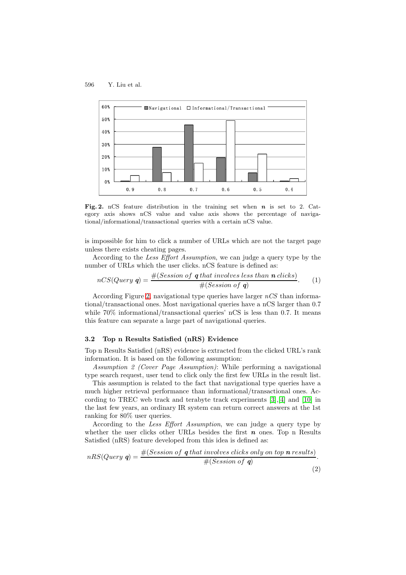

**Fig. 2.** nCS feature distribution in the training set when *n* is set to 2. Category axis shows nCS value and value axis shows the percentage of navigational/informational/transactional queries with a certain nCS value.

is impossible for him to click a number of URLs which are not the target page unless there exists cheating pages.

According to the Less Effort Assumption, we can judge a query type by the number of URLs which the user clicks. nCS feature is defined as:

$$
nCS(Query \mathbf{q}) = \frac{\#(Session \ of \ \mathbf{q} \ that \ involves \ less \ than \ \mathbf{n} \ clicks)}{\#(Session \ of \ \mathbf{q})}.\tag{1}
$$

According Figure 2, navigational type queries have larger  $nCS$  than informational/transactional ones. Most navigational queries have a nCS larger than 0.7 while  $70\%$  informational/transactional queries' nCS is less than 0.7. It means this feature can separate a large part of navigational queries.

### **3.2 Top n Results Satisfied (nRS) Evidence**

Top n Results Satisfied (nRS) evidence is extracted from the clicked URL's rank information. It is based on the following assumption:

Assumption 2 (Cover Page Assumption): While performing a navigational type search request, user tend to click only the first few URLs in the result list.

This assumption is related to the fact that navigational type queries have a much higher retrieval performance than informational/transactional ones. According to TREC web track and terabyte track experiments [3],[4] and [10] in the last few years, an ordinary IR system can return correct answers at the 1st ranking for 80% user queries.

According to the Less Effort Assumption, we can judge a query type by whether the user clicks other URLs besides the first *n* one[s.](#page-7-0) [To](#page-7-1)p n [Resu](#page-7-7)lts Satisfied (nRS) feature developed from this idea is defined as:

$$
nRS(Query \mathbf{q}) = \frac{\#(Session \ of \ \mathbf{q} \ that \ involves \ clicks \ only \ on \ top \ \mathbf{n} \ results)}{\#(Session \ of \ \mathbf{q})}.
$$
\n
$$
(2)
$$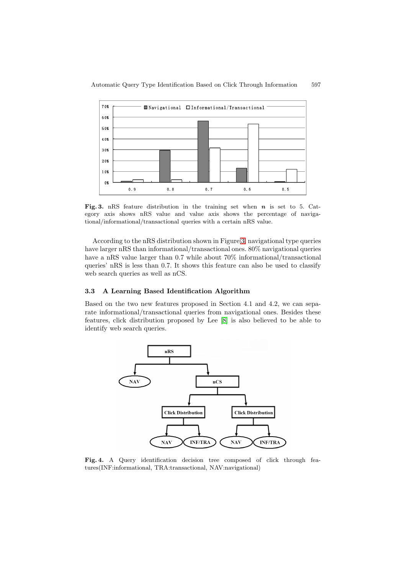

**Fig. 3.** nRS feature distribution in the training set when *n* is set to 5. Category axis shows nRS value and value axis shows the percentage of navigational/informational/transactional queries with a certain nRS value.

According to the nRS distribution shown in Figure 3, navigational type queries have larger nRS than informational/transactional ones. 80% navigational queries have a nRS value larger than 0.7 while about  $70\%$  informational/transactional queries' nRS is less than 0.7. It shows this feature can also be used to classify web search queries as well as nCS.

#### **3.3 A Learning Based Identification Algorithm**

Based on the two new features proposed in Section 4.1 and 4.2, we can separate informational/transactional queries from navigational ones. Besides these features, click distribution proposed by Lee [8] is also believed to be able to identify web search queries.



<span id="page-4-0"></span>**Fig. 4.** A Query identification decision tree composed of click through features(INF:informational, TRA:transactional, NAV:navigational)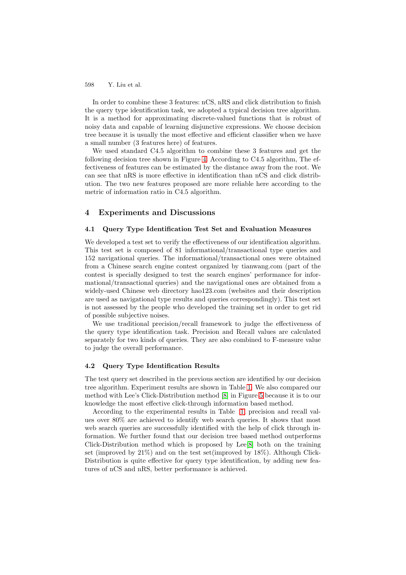598 Y. Liu et al.

In order to combine these 3 features: nCS, nRS and click distribution to finish the query type identification task, we adopted a typical decision tree algorithm. It is a method for approximating discrete-valued functions that is robust of noisy data and capable of learning disjunctive expressions. We choose decision tree because it is usually the most effective and efficient classifier when we have a small number (3 features here) of features.

We used standard C4.5 algorithm to combine these 3 features and get the following decision tree shown in Figure 4. According to C4.5 algorithm, The effectiveness of features can be estimated by the distance away from the root. We can see that nRS is more effective in identification than nCS and click distribution. The two new features proposed are more reliable here according to the metric of information ratio in C4.5 alg[ori](#page-4-0)thm.

## **4 Experiments and Discussions**

#### **4.1 Query Type Identification Test Set and Evaluation Measures**

We developed a test set to verify the effectiveness of our identification algorithm. This test set is composed of 81 informational/transactional type queries and 152 navigational queries. The informational/transactional ones were obtained from a Chinese search engine contest organized by tianwang.com (part of the contest is specially designed to test the search engines' performance for informational/transactional queries) and the navigational ones are obtained from a widely-used Chinese web directory hao123.com (websites and their description are used as navigational type results and queries correspondingly). This test set is not assessed by the people who developed the training set in order to get rid of possible subjective noises.

We use traditional precision/recall framework to judge the effectiveness of the query type identification task. Precision and Recall values are calculated separately for two kinds of queries. They are also combined to F-measure value to judge the overall performance.

### **4.2 Query Type Identification Results**

The test query set described in the previous section are identified by our decision tree algorithm. Experiment results are shown in Table 1. We also compared our method with Lee's Click-Distribution method [8] in Figure 5 because it is to our knowledge the most effective click-through information based method.

According to the experimental results in Table 1, precision and recall values over 80% are achieved to identify web search qu[eri](#page-6-2)es. It shows that most web search queries are successfully identified [wi](#page-7-5)th the hel[p o](#page-6-3)f click through information. We further found that our decision tree based method outperforms Click-Distribution method which is proposed by [Lee](#page-6-2)[8] both on the training set (improved by 21%) and on the test set(improved by 18%). Although Click-Distribution is quite effective for query type identification, by adding new features of nCS and nRS, better performance is achieved.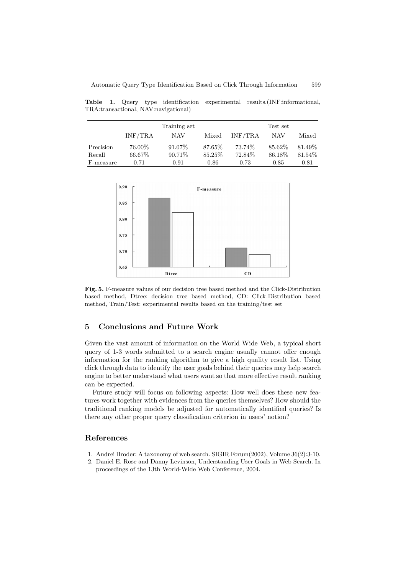<span id="page-6-2"></span>**Table 1.** Query type identification experimental results.(INF:informational, TRA:transactional, NAV:navigational)

|           |         | Training set |         |         | Test set |         |
|-----------|---------|--------------|---------|---------|----------|---------|
|           | INF/TRA | NAV          | Mixed   | INF/TRA | NAV      | Mixed   |
| Precision | 76.00%  | 91.07%       | 87.65%  | 73.74%  | 85.62\%  | 81.49\% |
| Recall    | 66.67%  | 90.71\%      | 85.25\% | 72.84\% | 86.18\%  | 81.54\% |
| F-measure | 0.71    | 0.91         | 0.86    | 0.73    | 0.85     | 0.81    |



<span id="page-6-3"></span>**Fig. 5.** F-measure values of our decision tree based method and the Click-Distribution based method, Dtree: decision tree based method, CD: Click-Distribution based method, Train/Test: experimental results based on the training/test set

# **5 Conclusions and Future Work**

Given the vast amount of information on the World Wide Web, a typical short query of 1-3 words submitted to a search engine usually cannot offer enough information for the ranking algorithm to give a high quality result list. Using click through data to identify the user goals behind their queries may help search engine to better understand what users want so that more effective result ranking can be expected.

Future study will focus on following aspects: How well does these new features work together with evidences from the queries themselves? How should the traditional ranking models be adjusted for automatically identified queries? Is there any other proper query classification criterion in users' notion?

## <span id="page-6-0"></span>**References**

- <span id="page-6-1"></span>1. Andrei Broder: A taxonomy of web search. SIGIR Forum(2002), Volume 36(2):3-10.
- 2. Daniel E. Rose and Danny Levinson, Understanding User Goals in Web Search. In proceedings of the 13th World-Wide Web Conference, 2004.